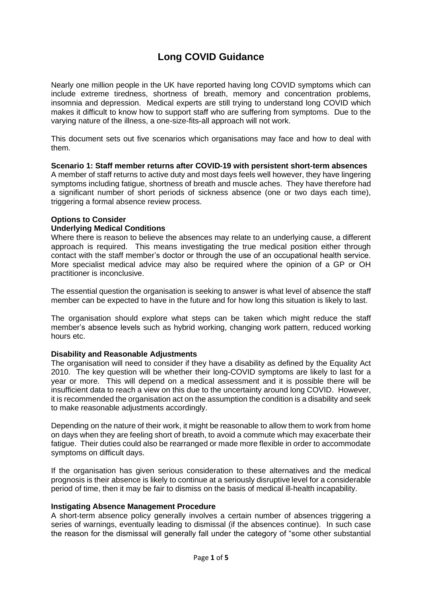# **Long COVID Guidance**

Nearly one million people in the UK have reported having long COVID symptoms which can include extreme tiredness, shortness of breath, memory and concentration problems, insomnia and depression. Medical experts are still trying to understand long COVID which makes it difficult to know how to support staff who are suffering from symptoms. Due to the varying nature of the illness, a one-size-fits-all approach will not work.

This document sets out five scenarios which organisations may face and how to deal with them.

## **Scenario 1: Staff member returns after COVID-19 with persistent short-term absences**

A member of staff returns to active duty and most days feels well however, they have lingering symptoms including fatigue, shortness of breath and muscle aches. They have therefore had a significant number of short periods of sickness absence (one or two days each time), triggering a formal absence review process.

#### **Options to Consider**

#### **Underlying Medical Conditions**

Where there is reason to believe the absences may relate to an underlying cause, a different approach is required. This means investigating the true medical position either through contact with the staff member's doctor or through the use of an occupational health service. More specialist medical advice may also be required where the opinion of a GP or OH practitioner is inconclusive.

The essential question the organisation is seeking to answer is what level of absence the staff member can be expected to have in the future and for how long this situation is likely to last.

The organisation should explore what steps can be taken which might reduce the staff member's absence levels such as hybrid working, changing work pattern, reduced working hours etc.

#### **Disability and Reasonable Adjustments**

The organisation will need to consider if they have a disability as defined by the Equality Act 2010. The key question will be whether their long-COVID symptoms are likely to last for a year or more. This will depend on a medical assessment and it is possible there will be insufficient data to reach a view on this due to the uncertainty around long COVID. However, it is recommended the organisation act on the assumption the condition is a disability and seek to make reasonable adjustments accordingly.

Depending on the nature of their work, it might be reasonable to allow them to work from home on days when they are feeling short of breath, to avoid a commute which may exacerbate their fatigue. Their duties could also be rearranged or made more flexible in order to accommodate symptoms on difficult days.

If the organisation has given serious consideration to these alternatives and the medical prognosis is their absence is likely to continue at a seriously disruptive level for a considerable period of time, then it may be fair to dismiss on the basis of medical ill-health incapability.

#### **Instigating Absence Management Procedure**

A short-term absence policy generally involves a certain number of absences triggering a series of warnings, eventually leading to dismissal (if the absences continue). In such case the reason for the dismissal will generally fall under the category of "some other substantial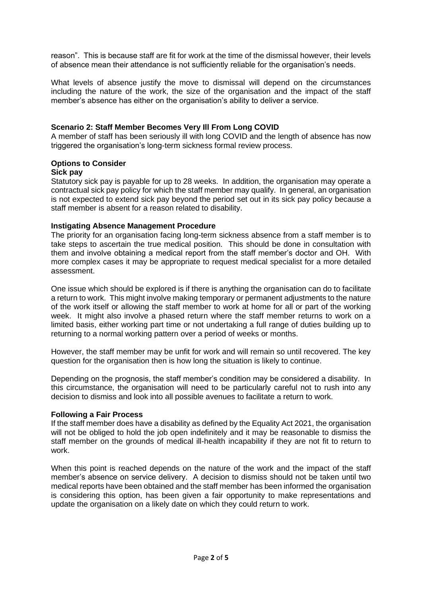reason". This is because staff are fit for work at the time of the dismissal however, their levels of absence mean their attendance is not sufficiently reliable for the organisation's needs.

What levels of absence justify the move to dismissal will depend on the circumstances including the nature of the work, the size of the organisation and the impact of the staff member's absence has either on the organisation's ability to deliver a service.

## **Scenario 2: Staff Member Becomes Very Ill From Long COVID**

A member of staff has been seriously ill with long COVID and the length of absence has now triggered the organisation's long-term sickness formal review process.

## **Options to Consider**

## **Sick pay**

Statutory sick pay is payable for up to 28 weeks. In addition, the organisation may operate a contractual sick pay policy for which the staff member may qualify. In general, an organisation is not expected to extend sick pay beyond the period set out in its sick pay policy because a staff member is absent for a reason related to disability.

## **Instigating Absence Management Procedure**

The priority for an organisation facing long-term sickness absence from a staff member is to take steps to ascertain the true medical position. This should be done in consultation with them and involve obtaining a medical report from the staff member's doctor and OH. With more complex cases it may be appropriate to request medical specialist for a more detailed assessment.

One issue which should be explored is if there is anything the organisation can do to facilitate a return to work. This might involve making temporary or permanent adjustments to the nature of the work itself or allowing the staff member to work at home for all or part of the working week. It might also involve a phased return where the staff member returns to work on a limited basis, either working part time or not undertaking a full range of duties building up to returning to a normal working pattern over a period of weeks or months.

However, the staff member may be unfit for work and will remain so until recovered. The key question for the organisation then is how long the situation is likely to continue.

Depending on the prognosis, the staff member's condition may be considered a disability. In this circumstance, the organisation will need to be particularly careful not to rush into any decision to dismiss and look into all possible avenues to facilitate a return to work.

## **Following a Fair Process**

If the staff member does have a disability as defined by the Equality Act 2021, the organisation will not be obliged to hold the job open indefinitely and it may be reasonable to dismiss the staff member on the grounds of medical ill-health incapability if they are not fit to return to work.

When this point is reached depends on the nature of the work and the impact of the staff member's absence on service delivery. A decision to dismiss should not be taken until two medical reports have been obtained and the staff member has been informed the organisation is considering this option, has been given a fair opportunity to make representations and update the organisation on a likely date on which they could return to work.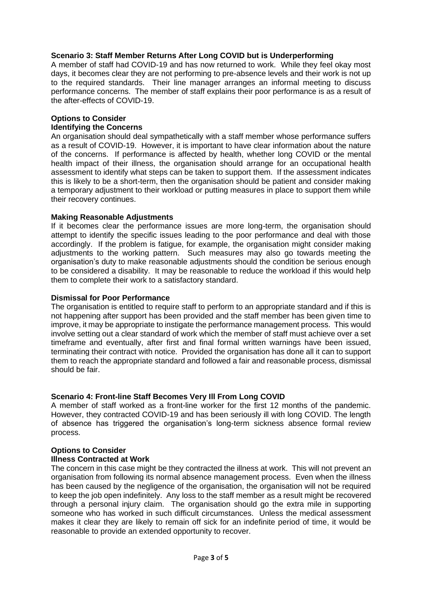## **Scenario 3: Staff Member Returns After Long COVID but is Underperforming**

A member of staff had COVID-19 and has now returned to work. While they feel okay most days, it becomes clear they are not performing to pre-absence levels and their work is not up to the required standards. Their line manager arranges an informal meeting to discuss performance concerns. The member of staff explains their poor performance is as a result of the after-effects of COVID-19.

# **Options to Consider**

#### **Identifying the Concerns**

An organisation should deal sympathetically with a staff member whose performance suffers as a result of COVID-19. However, it is important to have clear information about the nature of the concerns. If performance is affected by health, whether long COVID or the mental health impact of their illness, the organisation should arrange for an occupational health assessment to identify what steps can be taken to support them. If the assessment indicates this is likely to be a short-term, then the organisation should be patient and consider making a temporary adjustment to their workload or putting measures in place to support them while their recovery continues.

#### **Making Reasonable Adjustments**

If it becomes clear the performance issues are more long-term, the organisation should attempt to identify the specific issues leading to the poor performance and deal with those accordingly. If the problem is fatigue, for example, the organisation might consider making adjustments to the working pattern. Such measures may also go towards meeting the organisation's duty to make reasonable adjustments should the condition be serious enough to be considered a disability. It may be reasonable to reduce the workload if this would help them to complete their work to a satisfactory standard.

#### **Dismissal for Poor Performance**

The organisation is entitled to require staff to perform to an appropriate standard and if this is not happening after support has been provided and the staff member has been given time to improve, it may be appropriate to instigate the performance management process. This would involve setting out a clear standard of work which the member of staff must achieve over a set timeframe and eventually, after first and final formal written warnings have been issued, terminating their contract with notice. Provided the organisation has done all it can to support them to reach the appropriate standard and followed a fair and reasonable process, dismissal should be fair.

## **Scenario 4: Front-line Staff Becomes Very Ill From Long COVID**

A member of staff worked as a front-line worker for the first 12 months of the pandemic. However, they contracted COVID-19 and has been seriously ill with long COVID. The length of absence has triggered the organisation's long-term sickness absence formal review process.

## **Options to Consider**

#### **Illness Contracted at Work**

The concern in this case might be they contracted the illness at work. This will not prevent an organisation from following its normal absence management process. Even when the illness has been caused by the negligence of the organisation, the organisation will not be required to keep the job open indefinitely. Any loss to the staff member as a result might be recovered through a personal injury claim. The organisation should go the extra mile in supporting someone who has worked in such difficult circumstances. Unless the medical assessment makes it clear they are likely to remain off sick for an indefinite period of time, it would be reasonable to provide an extended opportunity to recover.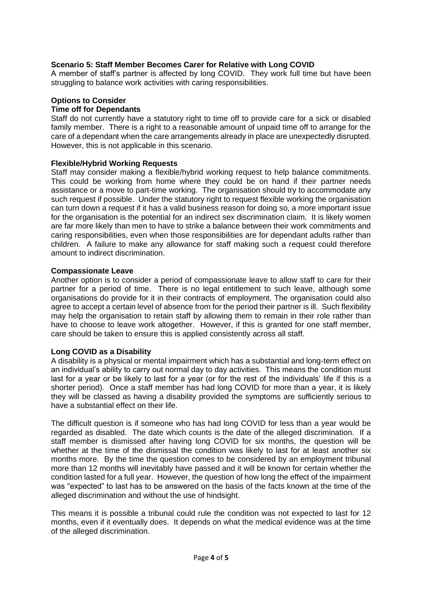# **Scenario 5: Staff Member Becomes Carer for Relative with Long COVID**

A member of staff's partner is affected by long COVID. They work full time but have been struggling to balance work activities with caring responsibilities.

## **Options to Consider**

#### **Time off for Dependants**

Staff do not currently have a statutory right to time off to provide care for a sick or disabled family member. There is a right to a reasonable amount of unpaid time off to arrange for the care of a dependant when the care arrangements already in place are unexpectedly disrupted. However, this is not applicable in this scenario.

#### **Flexible/Hybrid Working Requests**

Staff may consider making a flexible/hybrid working request to help balance commitments. This could be working from home where they could be on hand if their partner needs assistance or a move to part-time working. The organisation should try to accommodate any such request if possible. Under the statutory right to request flexible working the organisation can turn down a request if it has a valid business reason for doing so, a more important issue for the organisation is the potential for an indirect sex discrimination claim. It is likely women are far more likely than men to have to strike a balance between their work commitments and caring responsibilities, even when those responsibilities are for dependant adults rather than children. A failure to make any allowance for staff making such a request could therefore amount to indirect discrimination.

#### **Compassionate Leave**

Another option is to consider a period of compassionate leave to allow staff to care for their partner for a period of time. There is no legal entitlement to such leave, although some organisations do provide for it in their contracts of employment. The organisation could also agree to accept a certain level of absence from for the period their partner is ill. Such flexibility may help the organisation to retain staff by allowing them to remain in their role rather than have to choose to leave work altogether. However, if this is granted for one staff member, care should be taken to ensure this is applied consistently across all staff.

#### **Long COVID as a Disability**

A disability is a physical or mental impairment which has a substantial and long-term effect on an individual's ability to carry out normal day to day activities. This means the condition must last for a year or be likely to last for a year (or for the rest of the individuals' life if this is a shorter period). Once a staff member has had long COVID for more than a year, it is likely they will be classed as having a disability provided the symptoms are sufficiently serious to have a substantial effect on their life.

The difficult question is if someone who has had long COVID for less than a year would be regarded as disabled. The date which counts is the date of the alleged discrimination. If a staff member is dismissed after having long COVID for six months, the question will be whether at the time of the dismissal the condition was likely to last for at least another six months more. By the time the question comes to be considered by an employment tribunal more than 12 months will inevitably have passed and it will be known for certain whether the condition lasted for a full year. However, the question of how long the effect of the impairment was "expected" to last has to be answered on the basis of the facts known at the time of the alleged discrimination and without the use of hindsight.

This means it is possible a tribunal could rule the condition was not expected to last for 12 months, even if it eventually does. It depends on what the medical evidence was at the time of the alleged discrimination.